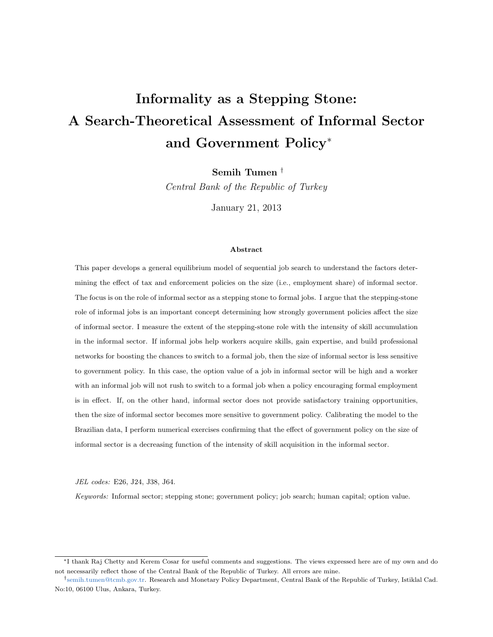# <span id="page-0-0"></span>Informality as a Stepping Stone: A Search-Theoretical Assessment of Informal Sector and Government Policy<sup>∗</sup>

Semih Tumen †

Central Bank of the Republic of Turkey

January 21, 2013

#### Abstract

This paper develops a general equilibrium model of sequential job search to understand the factors determining the effect of tax and enforcement policies on the size (i.e., employment share) of informal sector. The focus is on the role of informal sector as a stepping stone to formal jobs. I argue that the stepping-stone role of informal jobs is an important concept determining how strongly government policies affect the size of informal sector. I measure the extent of the stepping-stone role with the intensity of skill accumulation in the informal sector. If informal jobs help workers acquire skills, gain expertise, and build professional networks for boosting the chances to switch to a formal job, then the size of informal sector is less sensitive to government policy. In this case, the option value of a job in informal sector will be high and a worker with an informal job will not rush to switch to a formal job when a policy encouraging formal employment is in effect. If, on the other hand, informal sector does not provide satisfactory training opportunities, then the size of informal sector becomes more sensitive to government policy. Calibrating the model to the Brazilian data, I perform numerical exercises confirming that the effect of government policy on the size of informal sector is a decreasing function of the intensity of skill acquisition in the informal sector.

JEL codes: E26, J24, J38, J64.

Keywords: Informal sector; stepping stone; government policy; job search; human capital; option value.

<sup>∗</sup>I thank Raj Chetty and Kerem Cosar for useful comments and suggestions. The views expressed here are of my own and do not necessarily reflect those of the Central Bank of the Republic of Turkey. All errors are mine.

<sup>†</sup> [semih.tumen@tcmb.gov.tr.](mailto:semih.tumen@tcmb.gov.tr) Research and Monetary Policy Department, Central Bank of the Republic of Turkey, Istiklal Cad. No:10, 06100 Ulus, Ankara, Turkey.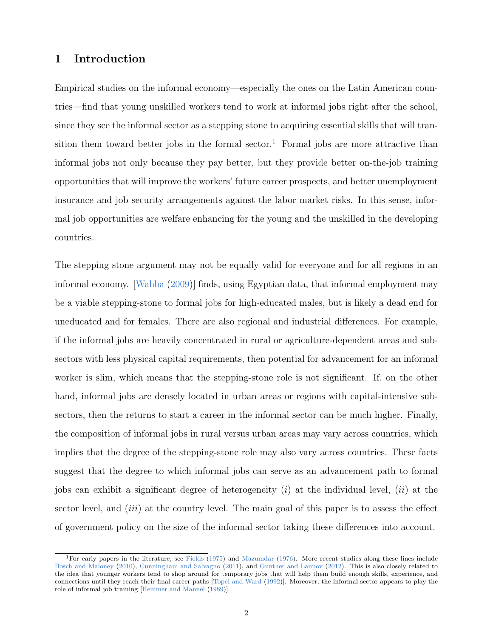## 1 Introduction

Empirical studies on the informal economy—especially the ones on the Latin American countries—find that young unskilled workers tend to work at informal jobs right after the school, since they see the informal sector as a stepping stone to acquiring essential skills that will tran-sition them toward better jobs in the formal sector.<sup>[1](#page-0-0)</sup> Formal jobs are more attractive than informal jobs not only because they pay better, but they provide better on-the-job training opportunities that will improve the workers' future career prospects, and better unemployment insurance and job security arrangements against the labor market risks. In this sense, informal job opportunities are welfare enhancing for the young and the unskilled in the developing countries.

The stepping stone argument may not be equally valid for everyone and for all regions in an informal economy. [\[Wahba](#page-18-0) [\(2009\)](#page-18-0)] finds, using Egyptian data, that informal employment may be a viable stepping-stone to formal jobs for high-educated males, but is likely a dead end for uneducated and for females. There are also regional and industrial differences. For example, if the informal jobs are heavily concentrated in rural or agriculture-dependent areas and subsectors with less physical capital requirements, then potential for advancement for an informal worker is slim, which means that the stepping-stone role is not significant. If, on the other hand, informal jobs are densely located in urban areas or regions with capital-intensive subsectors, then the returns to start a career in the informal sector can be much higher. Finally, the composition of informal jobs in rural versus urban areas may vary across countries, which implies that the degree of the stepping-stone role may also vary across countries. These facts suggest that the degree to which informal jobs can serve as an advancement path to formal jobs can exhibit a significant degree of heterogeneity  $(i)$  at the individual level,  $(ii)$  at the sector level, and *(iii)* at the country level. The main goal of this paper is to assess the effect of government policy on the size of the informal sector taking these differences into account.

<sup>&</sup>lt;sup>1</sup>For early papers in the literature, see [Fields](#page-16-0) [\(1975\)](#page-16-0) and [Mazumdar](#page-17-0) [\(1976\)](#page-17-0). More recent studies along these lines include [Bosch and Maloney](#page-16-1) [\(2010\)](#page-16-1), [Cunningham and Salvagno](#page-16-2) [\(2011\)](#page-16-2), and [Gunther and Launov](#page-17-1) [\(2012\)](#page-17-1). This is also closely related to the idea that younger workers tend to shop around for temporary jobs that will help them build enough skills, experience, and connections until they reach their final career paths [\[Topel and Ward](#page-18-1) [\(1992\)](#page-18-1)]. Moreover, the informal sector appears to play the role of informal job training [\[Hemmer and Mannel](#page-17-2) [\(1989\)](#page-17-2)].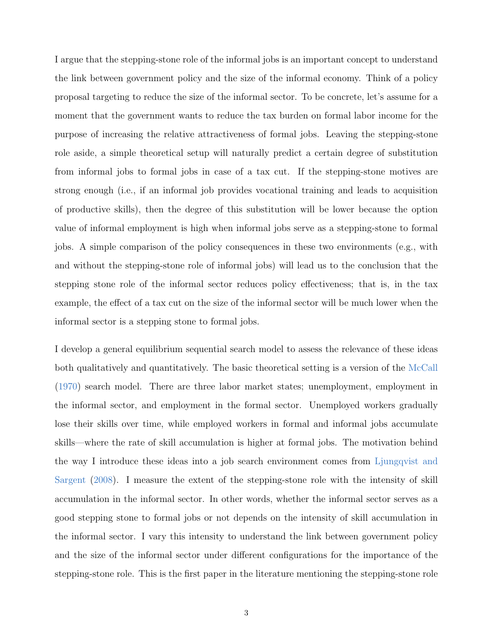I argue that the stepping-stone role of the informal jobs is an important concept to understand the link between government policy and the size of the informal economy. Think of a policy proposal targeting to reduce the size of the informal sector. To be concrete, let's assume for a moment that the government wants to reduce the tax burden on formal labor income for the purpose of increasing the relative attractiveness of formal jobs. Leaving the stepping-stone role aside, a simple theoretical setup will naturally predict a certain degree of substitution from informal jobs to formal jobs in case of a tax cut. If the stepping-stone motives are strong enough (i.e., if an informal job provides vocational training and leads to acquisition of productive skills), then the degree of this substitution will be lower because the option value of informal employment is high when informal jobs serve as a stepping-stone to formal jobs. A simple comparison of the policy consequences in these two environments (e.g., with and without the stepping-stone role of informal jobs) will lead us to the conclusion that the stepping stone role of the informal sector reduces policy effectiveness; that is, in the tax example, the effect of a tax cut on the size of the informal sector will be much lower when the informal sector is a stepping stone to formal jobs.

I develop a general equilibrium sequential search model to assess the relevance of these ideas both qualitatively and quantitatively. The basic theoretical setting is a version of the [McCall](#page-17-3) [\(1970\)](#page-17-3) search model. There are three labor market states; unemployment, employment in the informal sector, and employment in the formal sector. Unemployed workers gradually lose their skills over time, while employed workers in formal and informal jobs accumulate skills—where the rate of skill accumulation is higher at formal jobs. The motivation behind the way I introduce these ideas into a job search environment comes from [Ljungqvist and](#page-17-4) [Sargent](#page-17-4) [\(2008\)](#page-17-4). I measure the extent of the stepping-stone role with the intensity of skill accumulation in the informal sector. In other words, whether the informal sector serves as a good stepping stone to formal jobs or not depends on the intensity of skill accumulation in the informal sector. I vary this intensity to understand the link between government policy and the size of the informal sector under different configurations for the importance of the stepping-stone role. This is the first paper in the literature mentioning the stepping-stone role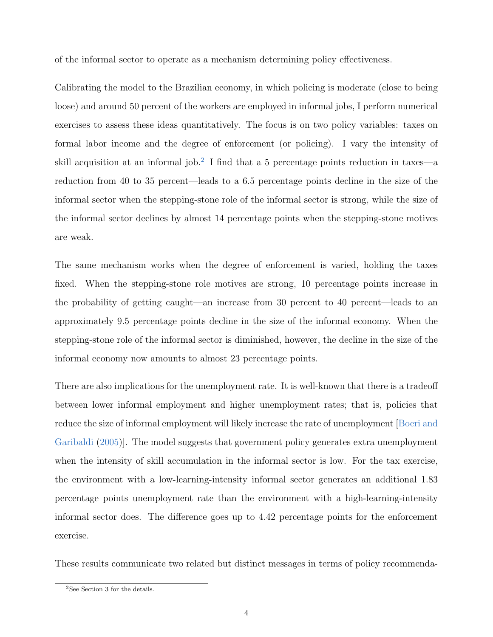of the informal sector to operate as a mechanism determining policy effectiveness.

Calibrating the model to the Brazilian economy, in which policing is moderate (close to being loose) and around 50 percent of the workers are employed in informal jobs, I perform numerical exercises to assess these ideas quantitatively. The focus is on two policy variables: taxes on formal labor income and the degree of enforcement (or policing). I vary the intensity of skill acquisition at an informal job.<sup>[2](#page-0-0)</sup> I find that a 5 percentage points reduction in taxes—a reduction from 40 to 35 percent—leads to a 6.5 percentage points decline in the size of the informal sector when the stepping-stone role of the informal sector is strong, while the size of the informal sector declines by almost 14 percentage points when the stepping-stone motives are weak.

The same mechanism works when the degree of enforcement is varied, holding the taxes fixed. When the stepping-stone role motives are strong, 10 percentage points increase in the probability of getting caught—an increase from 30 percent to 40 percent—leads to an approximately 9.5 percentage points decline in the size of the informal economy. When the stepping-stone role of the informal sector is diminished, however, the decline in the size of the informal economy now amounts to almost 23 percentage points.

There are also implications for the unemployment rate. It is well-known that there is a tradeoff between lower informal employment and higher unemployment rates; that is, policies that reduce the size of informal employment will likely increase the rate of unemployment [\[Boeri and](#page-16-3) [Garibaldi](#page-16-3) [\(2005\)](#page-16-3)]. The model suggests that government policy generates extra unemployment when the intensity of skill accumulation in the informal sector is low. For the tax exercise, the environment with a low-learning-intensity informal sector generates an additional 1.83 percentage points unemployment rate than the environment with a high-learning-intensity informal sector does. The difference goes up to 4.42 percentage points for the enforcement exercise.

These results communicate two related but distinct messages in terms of policy recommenda-

<sup>2</sup>See Section 3 for the details.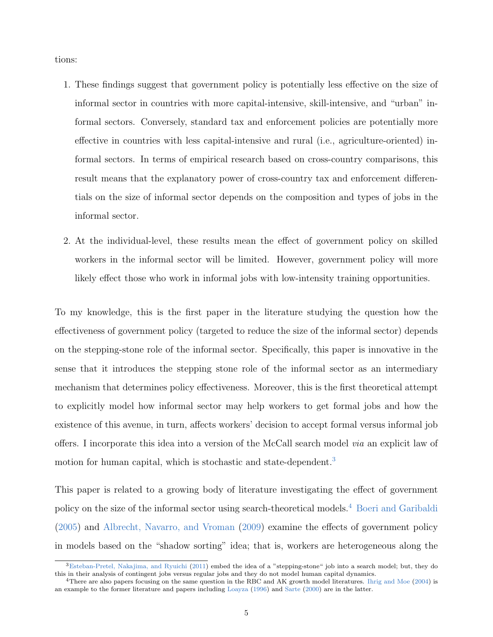tions:

- 1. These findings suggest that government policy is potentially less effective on the size of informal sector in countries with more capital-intensive, skill-intensive, and "urban" informal sectors. Conversely, standard tax and enforcement policies are potentially more effective in countries with less capital-intensive and rural (i.e., agriculture-oriented) informal sectors. In terms of empirical research based on cross-country comparisons, this result means that the explanatory power of cross-country tax and enforcement differentials on the size of informal sector depends on the composition and types of jobs in the informal sector.
- 2. At the individual-level, these results mean the effect of government policy on skilled workers in the informal sector will be limited. However, government policy will more likely effect those who work in informal jobs with low-intensity training opportunities.

To my knowledge, this is the first paper in the literature studying the question how the effectiveness of government policy (targeted to reduce the size of the informal sector) depends on the stepping-stone role of the informal sector. Specifically, this paper is innovative in the sense that it introduces the stepping stone role of the informal sector as an intermediary mechanism that determines policy effectiveness. Moreover, this is the first theoretical attempt to explicitly model how informal sector may help workers to get formal jobs and how the existence of this avenue, in turn, affects workers' decision to accept formal versus informal job offers. I incorporate this idea into a version of the McCall search model via an explicit law of motion for human capital, which is stochastic and state-dependent.<sup>[3](#page-0-0)</sup>

This paper is related to a growing body of literature investigating the effect of government policy on the size of the informal sector using search-theoretical models.[4](#page-0-0) [Boeri and Garibaldi](#page-16-3) [\(2005\)](#page-16-3) and [Albrecht, Navarro, and Vroman](#page-16-4) [\(2009\)](#page-16-4) examine the effects of government policy in models based on the "shadow sorting" idea; that is, workers are heterogeneous along the

 ${}^{3}$ [Esteban-Pretel, Nakajima, and Ryuichi](#page-16-5) [\(2011\)](#page-16-5) embed the idea of a "stepping-stone" job into a search model; but, they do this in their analysis of contingent jobs versus regular jobs and they do not model human capital dynamics.

<sup>&</sup>lt;sup>4</sup>There are also papers focusing on the same question in the RBC and AK growth model literatures. [Ihrig and Moe](#page-17-5)  $(2004)$  is an example to the former literature and papers including [Loayza](#page-17-6) [\(1996\)](#page-17-6) and [Sarte](#page-18-2) [\(2000\)](#page-18-2) are in the latter.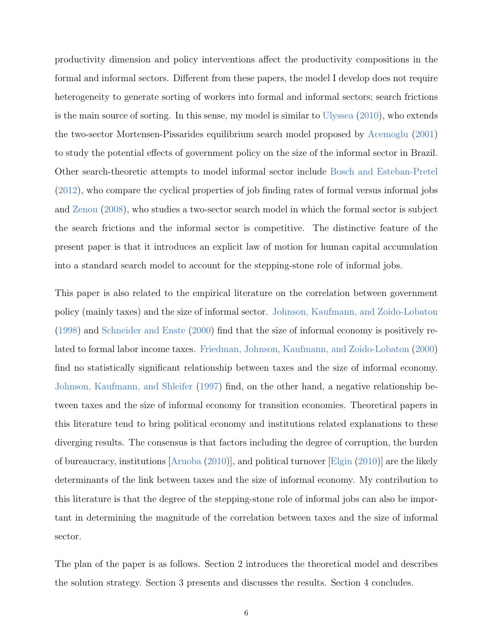productivity dimension and policy interventions affect the productivity compositions in the formal and informal sectors. Different from these papers, the model I develop does not require heterogeneity to generate sorting of workers into formal and informal sectors; search frictions is the main source of sorting. In this sense, my model is similar to [Ulyssea](#page-18-3) [\(2010\)](#page-18-3), who extends the two-sector Mortensen-Pissarides equilibrium search model proposed by [Acemoglu](#page-16-6) [\(2001\)](#page-16-6) to study the potential effects of government policy on the size of the informal sector in Brazil. Other search-theoretic attempts to model informal sector include [Bosch and Esteban-Pretel](#page-16-7) [\(2012\)](#page-16-7), who compare the cyclical properties of job finding rates of formal versus informal jobs and [Zenou](#page-18-4) [\(2008\)](#page-18-4), who studies a two-sector search model in which the formal sector is subject the search frictions and the informal sector is competitive. The distinctive feature of the present paper is that it introduces an explicit law of motion for human capital accumulation into a standard search model to account for the stepping-stone role of informal jobs.

This paper is also related to the empirical literature on the correlation between government policy (mainly taxes) and the size of informal sector. [Johnson, Kaufmann, and Zoido-Lobaton](#page-17-7) [\(1998\)](#page-17-7) and [Schneider and Enste](#page-18-5) [\(2000\)](#page-18-5) find that the size of informal economy is positively related to formal labor income taxes. [Friedman, Johnson, Kaufmann, and Zoido-Lobaton](#page-16-8) [\(2000\)](#page-16-8) find no statistically significant relationship between taxes and the size of informal economy. [Johnson, Kaufmann, and Shleifer](#page-17-8) [\(1997\)](#page-17-8) find, on the other hand, a negative relationship between taxes and the size of informal economy for transition economies. Theoretical papers in this literature tend to bring political economy and institutions related explanations to these diverging results. The consensus is that factors including the degree of corruption, the burden of bureaucracy, institutions [\[Aruoba](#page-16-9) [\(2010\)](#page-16-9)], and political turnover [\[Elgin](#page-16-10) [\(2010\)](#page-16-10)] are the likely determinants of the link between taxes and the size of informal economy. My contribution to this literature is that the degree of the stepping-stone role of informal jobs can also be important in determining the magnitude of the correlation between taxes and the size of informal sector.

The plan of the paper is as follows. Section 2 introduces the theoretical model and describes the solution strategy. Section 3 presents and discusses the results. Section 4 concludes.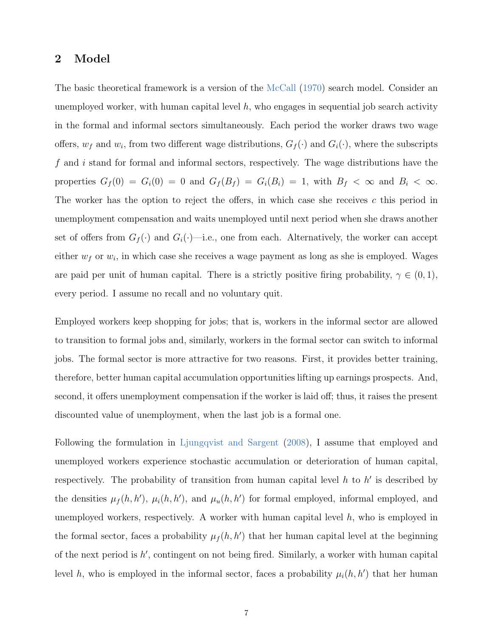### 2 Model

The basic theoretical framework is a version of the [McCall](#page-17-3) [\(1970\)](#page-17-3) search model. Consider an unemployed worker, with human capital level  $h$ , who engages in sequential job search activity in the formal and informal sectors simultaneously. Each period the worker draws two wage offers,  $w_f$  and  $w_i$ , from two different wage distributions,  $G_f(\cdot)$  and  $G_i(\cdot)$ , where the subscripts  $f$  and  $i$  stand for formal and informal sectors, respectively. The wage distributions have the properties  $G_f(0) = G_i(0) = 0$  and  $G_f(B_f) = G_i(B_i) = 1$ , with  $B_f < \infty$  and  $B_i < \infty$ . The worker has the option to reject the offers, in which case she receives c this period in unemployment compensation and waits unemployed until next period when she draws another set of offers from  $G_f(\cdot)$  and  $G_i(\cdot)$ —i.e., one from each. Alternatively, the worker can accept either  $w_f$  or  $w_i$ , in which case she receives a wage payment as long as she is employed. Wages are paid per unit of human capital. There is a strictly positive firing probability,  $\gamma \in (0,1)$ , every period. I assume no recall and no voluntary quit.

Employed workers keep shopping for jobs; that is, workers in the informal sector are allowed to transition to formal jobs and, similarly, workers in the formal sector can switch to informal jobs. The formal sector is more attractive for two reasons. First, it provides better training, therefore, better human capital accumulation opportunities lifting up earnings prospects. And, second, it offers unemployment compensation if the worker is laid off; thus, it raises the present discounted value of unemployment, when the last job is a formal one.

Following the formulation in [Ljungqvist and Sargent](#page-17-4) [\(2008\)](#page-17-4), I assume that employed and unemployed workers experience stochastic accumulation or deterioration of human capital, respectively. The probability of transition from human capital level  $h$  to  $h'$  is described by the densities  $\mu_f(h, h'), \mu_i(h, h')$ , and  $\mu_u(h, h')$  for formal employed, informal employed, and unemployed workers, respectively. A worker with human capital level  $h$ , who is employed in the formal sector, faces a probability  $\mu_f(h, h')$  that her human capital level at the beginning of the next period is  $h'$ , contingent on not being fired. Similarly, a worker with human capital level h, who is employed in the informal sector, faces a probability  $\mu_i(h, h')$  that her human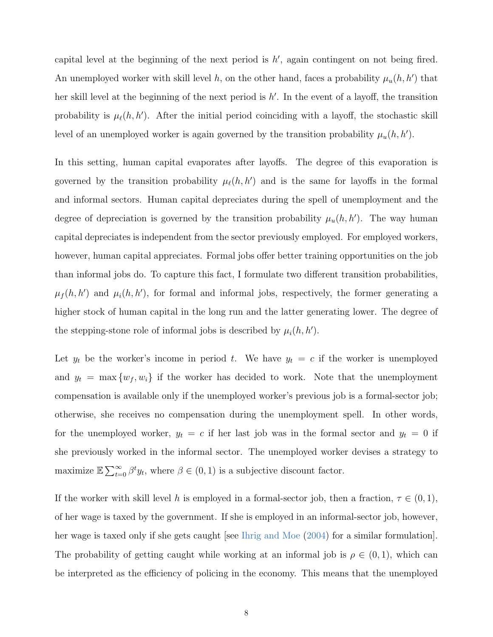capital level at the beginning of the next period is  $h'$ , again contingent on not being fired. An unemployed worker with skill level h, on the other hand, faces a probability  $\mu_u(h, h')$  that her skill level at the beginning of the next period is  $h'$ . In the event of a layoff, the transition probability is  $\mu_{\ell}(h, h')$ . After the initial period coinciding with a layoff, the stochastic skill level of an unemployed worker is again governed by the transition probability  $\mu_u(h, h').$ 

In this setting, human capital evaporates after layoffs. The degree of this evaporation is governed by the transition probability  $\mu_{\ell}(h, h')$  and is the same for layoffs in the formal and informal sectors. Human capital depreciates during the spell of unemployment and the degree of depreciation is governed by the transition probability  $\mu_u(h, h')$ . The way human capital depreciates is independent from the sector previously employed. For employed workers, however, human capital appreciates. Formal jobs offer better training opportunities on the job than informal jobs do. To capture this fact, I formulate two different transition probabilities,  $\mu_f(h, h')$  and  $\mu_i(h, h')$ , for formal and informal jobs, respectively, the former generating a higher stock of human capital in the long run and the latter generating lower. The degree of the stepping-stone role of informal jobs is described by  $\mu_i(h, h').$ 

Let  $y_t$  be the worker's income in period t. We have  $y_t = c$  if the worker is unemployed and  $y_t = \max\{w_f, w_i\}$  if the worker has decided to work. Note that the unemployment compensation is available only if the unemployed worker's previous job is a formal-sector job; otherwise, she receives no compensation during the unemployment spell. In other words, for the unemployed worker,  $y_t = c$  if her last job was in the formal sector and  $y_t = 0$  if she previously worked in the informal sector. The unemployed worker devises a strategy to maximize  $\mathbb{E}\sum_{t=0}^{\infty} \beta^t y_t$ , where  $\beta \in (0,1)$  is a subjective discount factor.

If the worker with skill level h is employed in a formal-sector job, then a fraction,  $\tau \in (0,1)$ , of her wage is taxed by the government. If she is employed in an informal-sector job, however, her wage is taxed only if she gets caught [see [Ihrig and Moe](#page-17-5)  $(2004)$  for a similar formulation]. The probability of getting caught while working at an informal job is  $\rho \in (0,1)$ , which can be interpreted as the efficiency of policing in the economy. This means that the unemployed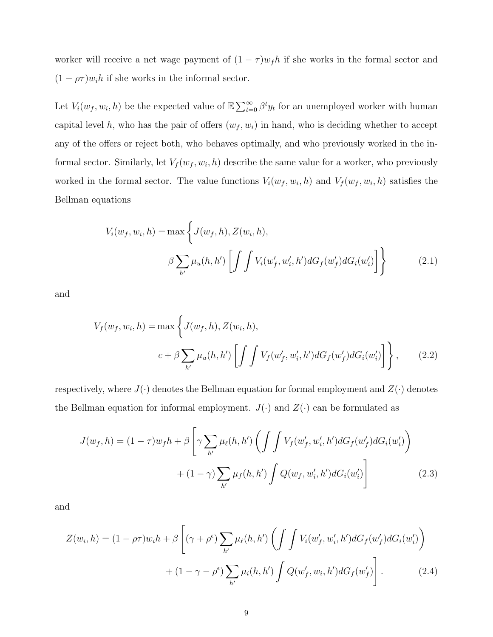worker will receive a net wage payment of  $(1 - \tau)w_f h$  if she works in the formal sector and  $(1-\rho\tau)w_i h$  if she works in the informal sector.

Let  $V_i(w_f, w_i, h)$  be the expected value of  $\mathbb{E} \sum_{t=0}^{\infty} \beta^t y_t$  for an unemployed worker with human capital level h, who has the pair of offers  $(w_f, w_i)$  in hand, who is deciding whether to accept any of the offers or reject both, who behaves optimally, and who previously worked in the informal sector. Similarly, let  $V_f(w_f, w_i, h)$  describe the same value for a worker, who previously worked in the formal sector. The value functions  $V_i(w_f, w_i, h)$  and  $V_f(w_f, w_i, h)$  satisfies the Bellman equations

$$
V_i(w_f, w_i, h) = \max \left\{ J(w_f, h), Z(w_i, h),
$$

$$
\beta \sum_{h'} \mu_u(h, h') \left[ \int \int V_i(w'_f, w'_i, h') dG_f(w'_f) dG_i(w'_i) \right] \right\}
$$
(2.1)

and

$$
V_f(w_f, w_i, h) = \max \left\{ J(w_f, h), Z(w_i, h),
$$
  

$$
c + \beta \sum_{h'} \mu_u(h, h') \left[ \int \int V_f(w'_f, w'_i, h') dG_f(w'_f) dG_i(w'_i) \right] \right\}, \qquad (2.2)
$$

respectively, where  $J(\cdot)$  denotes the Bellman equation for formal employment and  $Z(\cdot)$  denotes the Bellman equation for informal employment.  $J(\cdot)$  and  $Z(\cdot)$  can be formulated as

$$
J(w_f, h) = (1 - \tau)w_f h + \beta \left[ \gamma \sum_{h'} \mu_{\ell}(h, h') \left( \int \int V_f(w'_f, w'_i, h') dG_f(w'_f) dG_i(w'_i) \right) + (1 - \gamma) \sum_{h'} \mu_f(h, h') \int Q(w_f, w'_i, h') dG_i(w'_i) \right]
$$
(2.3)

and

$$
Z(w_i, h) = (1 - \rho \tau)w_i h + \beta \left[ (\gamma + \rho^{\epsilon}) \sum_{h'} \mu_{\ell}(h, h') \left( \int \int V_i(w'_f, w'_i, h') dG_f(w'_f) dG_i(w'_i) \right) + (1 - \gamma - \rho^{\epsilon}) \sum_{h'} \mu_i(h, h') \int Q(w'_f, w_i, h') dG_f(w'_f) \right].
$$
\n(2.4)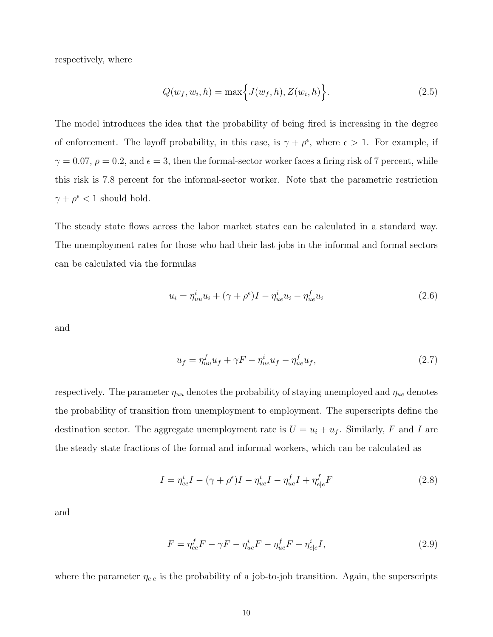respectively, where

$$
Q(w_f, w_i, h) = \max\Big\{J(w_f, h), Z(w_i, h)\Big\}.
$$
 (2.5)

The model introduces the idea that the probability of being fired is increasing in the degree of enforcement. The layoff probability, in this case, is  $\gamma + \rho^{\epsilon}$ , where  $\epsilon > 1$ . For example, if  $\gamma = 0.07, \rho = 0.2$ , and  $\epsilon = 3$ , then the formal-sector worker faces a firing risk of 7 percent, while this risk is 7.8 percent for the informal-sector worker. Note that the parametric restriction  $\gamma + \rho^{\epsilon} < 1$  should hold.

The steady state flows across the labor market states can be calculated in a standard way. The unemployment rates for those who had their last jobs in the informal and formal sectors can be calculated via the formulas

<span id="page-9-0"></span>
$$
u_i = \eta_{uu}^i u_i + (\gamma + \rho^{\epsilon})I - \eta_{ue}^i u_i - \eta_{ue}^f u_i
$$
\n(2.6)

and

$$
u_f = \eta_{uu}^f u_f + \gamma F - \eta_{ue}^i u_f - \eta_{ue}^f u_f,\tag{2.7}
$$

respectively. The parameter  $\eta_{uu}$  denotes the probability of staying unemployed and  $\eta_{ue}$  denotes the probability of transition from unemployment to employment. The superscripts define the destination sector. The aggregate unemployment rate is  $U = u_i + u_f$ . Similarly, F and I are the steady state fractions of the formal and informal workers, which can be calculated as

$$
I = \eta_{ee}^i I - (\gamma + \rho^{\epsilon})I - \eta_{ue}^i I - \eta_{ue}^f I + \eta_{e|e}^f F \tag{2.8}
$$

and

$$
F = \eta_{ee}^f F - \gamma F - \eta_{ue}^i F - \eta_{ue}^f F + \eta_{e|e}^i I,\tag{2.9}
$$

where the parameter  $\eta_{e|e}$  is the probability of a job-to-job transition. Again, the superscripts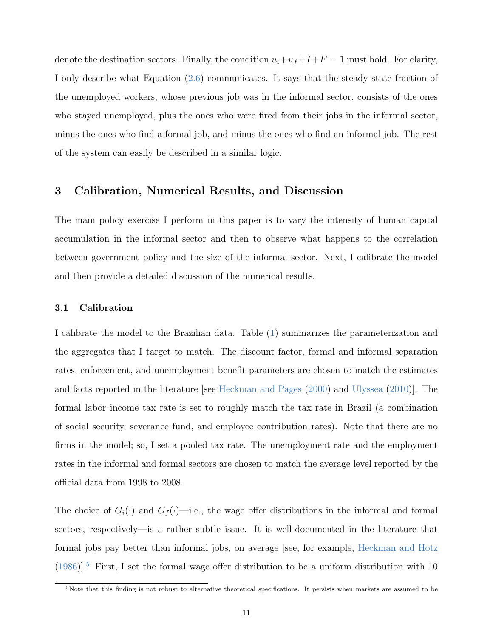denote the destination sectors. Finally, the condition  $u_i+u_f+I+F=1$  must hold. For clarity, I only describe what Equation [\(2.6\)](#page-9-0) communicates. It says that the steady state fraction of the unemployed workers, whose previous job was in the informal sector, consists of the ones who stayed unemployed, plus the ones who were fired from their jobs in the informal sector, minus the ones who find a formal job, and minus the ones who find an informal job. The rest of the system can easily be described in a similar logic.

#### 3 Calibration, Numerical Results, and Discussion

The main policy exercise I perform in this paper is to vary the intensity of human capital accumulation in the informal sector and then to observe what happens to the correlation between government policy and the size of the informal sector. Next, I calibrate the model and then provide a detailed discussion of the numerical results.

#### 3.1 Calibration

I calibrate the model to the Brazilian data. Table [\(1\)](#page-11-0) summarizes the parameterization and the aggregates that I target to match. The discount factor, formal and informal separation rates, enforcement, and unemployment benefit parameters are chosen to match the estimates and facts reported in the literature [see [Heckman and Pages](#page-17-9) [\(2000\)](#page-17-9) and [Ulyssea](#page-18-3) [\(2010\)](#page-18-3)]. The formal labor income tax rate is set to roughly match the tax rate in Brazil (a combination of social security, severance fund, and employee contribution rates). Note that there are no firms in the model; so, I set a pooled tax rate. The unemployment rate and the employment rates in the informal and formal sectors are chosen to match the average level reported by the official data from 1998 to 2008.

The choice of  $G_i(\cdot)$  and  $G_f(\cdot)$ —i.e., the wage offer distributions in the informal and formal sectors, respectively—is a rather subtle issue. It is well-documented in the literature that formal jobs pay better than informal jobs, on average [see, for example, [Heckman and Hotz](#page-17-10)  $(1986)$ .<sup>[5](#page-0-0)</sup> First, I set the formal wage offer distribution to be a uniform distribution with 10

 $5$ Note that this finding is not robust to alternative theoretical specifications. It persists when markets are assumed to be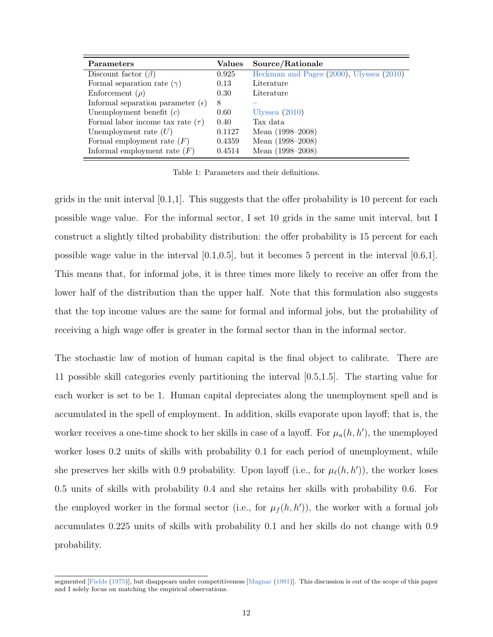<span id="page-11-0"></span>

| Parameters                                 | Values | Source/Rationale                         |
|--------------------------------------------|--------|------------------------------------------|
| Discount factor $(\beta)$                  | 0.925  | Heckman and Pages (2000), Ulyssea (2010) |
| Formal separation rate $(\gamma)$          | 0.13   | Literature                               |
| Enforcement $(\rho)$                       | 0.30   | Literature                               |
| Informal separation parameter $(\epsilon)$ | 8      |                                          |
| Unemployment benefit $(c)$                 | 0.60   | Ulyssea $(2010)$                         |
| Formal labor income tax rate $(\tau)$      | 0.40   | Tax data                                 |
| Unemployment rate $(U)$                    | 0.1127 | Mean $(1998-2008)$                       |
| Formal employment rate $(F)$               | 0.4359 | Mean (1998-2008)                         |
| Informal employment rate $(F)$             | 0.4514 | Mean (1998–2008)                         |

Table 1: Parameters and their definitions.

grids in the unit interval  $[0.1,1]$ . This suggests that the offer probability is 10 percent for each possible wage value. For the informal sector, I set 10 grids in the same unit interval, but I construct a slightly tilted probability distribution: the offer probability is 15 percent for each possible wage value in the interval  $[0.1, 0.5]$ , but it becomes 5 percent in the interval  $[0.6, 1]$ . This means that, for informal jobs, it is three times more likely to receive an offer from the lower half of the distribution than the upper half. Note that this formulation also suggests that the top income values are the same for formal and informal jobs, but the probability of receiving a high wage offer is greater in the formal sector than in the informal sector.

The stochastic law of motion of human capital is the final object to calibrate. There are 11 possible skill categories evenly partitioning the interval [0.5,1.5]. The starting value for each worker is set to be 1. Human capital depreciates along the unemployment spell and is accumulated in the spell of employment. In addition, skills evaporate upon layoff; that is, the worker receives a one-time shock to her skills in case of a layoff. For  $\mu_u(h, h')$ , the unemployed worker loses 0.2 units of skills with probability 0.1 for each period of unemployment, while she preserves her skills with 0.9 probability. Upon layoff (i.e., for  $\mu_{\ell}(h, h')$ ), the worker loses 0.5 units of skills with probability 0.4 and she retains her skills with probability 0.6. For the employed worker in the formal sector (i.e., for  $\mu_f(h, h')$ ), the worker with a formal job accumulates 0.225 units of skills with probability 0.1 and her skills do not change with 0.9 probability.

segmented [\[Fields](#page-16-0) [\(1975\)](#page-16-0)], but disappears under competitiveness [\[Magnac](#page-17-11) [\(1991\)](#page-17-11)]. This discussion is out of the scope of this paper and I solely focus on matching the empirical observations.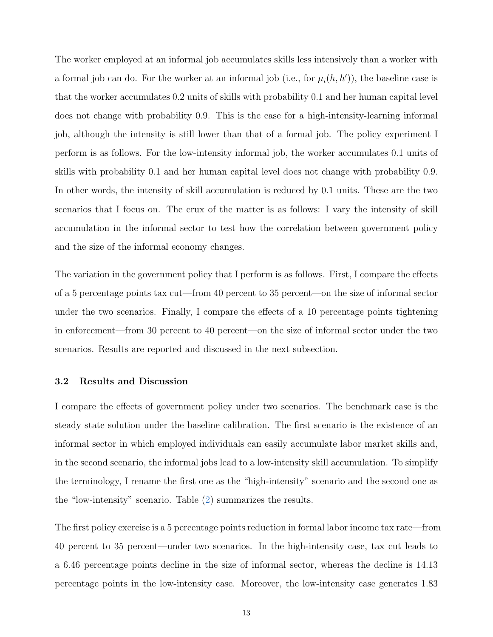The worker employed at an informal job accumulates skills less intensively than a worker with a formal job can do. For the worker at an informal job (i.e., for  $\mu_i(h, h')$ ), the baseline case is that the worker accumulates 0.2 units of skills with probability 0.1 and her human capital level does not change with probability 0.9. This is the case for a high-intensity-learning informal job, although the intensity is still lower than that of a formal job. The policy experiment I perform is as follows. For the low-intensity informal job, the worker accumulates 0.1 units of skills with probability 0.1 and her human capital level does not change with probability 0.9. In other words, the intensity of skill accumulation is reduced by 0.1 units. These are the two scenarios that I focus on. The crux of the matter is as follows: I vary the intensity of skill accumulation in the informal sector to test how the correlation between government policy and the size of the informal economy changes.

The variation in the government policy that I perform is as follows. First, I compare the effects of a 5 percentage points tax cut—from 40 percent to 35 percent—on the size of informal sector under the two scenarios. Finally, I compare the effects of a 10 percentage points tightening in enforcement—from 30 percent to 40 percent—on the size of informal sector under the two scenarios. Results are reported and discussed in the next subsection.

#### 3.2 Results and Discussion

I compare the effects of government policy under two scenarios. The benchmark case is the steady state solution under the baseline calibration. The first scenario is the existence of an informal sector in which employed individuals can easily accumulate labor market skills and, in the second scenario, the informal jobs lead to a low-intensity skill accumulation. To simplify the terminology, I rename the first one as the "high-intensity" scenario and the second one as the "low-intensity" scenario. Table [\(2\)](#page-13-0) summarizes the results.

The first policy exercise is a 5 percentage points reduction in formal labor income tax rate—from 40 percent to 35 percent—under two scenarios. In the high-intensity case, tax cut leads to a 6.46 percentage points decline in the size of informal sector, whereas the decline is 14.13 percentage points in the low-intensity case. Moreover, the low-intensity case generates 1.83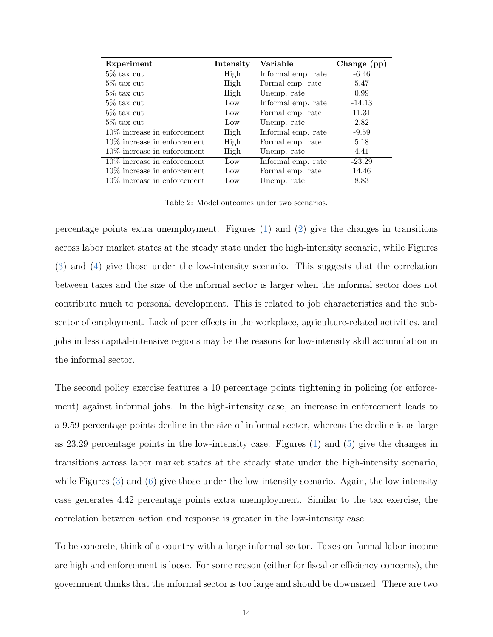<span id="page-13-0"></span>

| Experiment                     | Intensity | Variable           | Change (pp) |
|--------------------------------|-----------|--------------------|-------------|
| $5\%$ tax cut                  | High      | Informal emp. rate | $-6.46$     |
| $5\%$ tax cut                  | High      | Formal emp. rate   | 5.47        |
| $5\%$ tax cut                  | High      | Unemp. rate        | 0.99        |
| $5\%$ tax cut                  | Low       | Informal emp. rate | $-14.13$    |
| $5\%$ tax cut                  | Low       | Formal emp. rate   | 11.31       |
| $5\%$ tax cut                  | Low       | Unemp. rate        | 2.82        |
| $10\%$ increase in enforcement | High      | Informal emp. rate | $-9.59$     |
| $10\%$ increase in enforcement | High      | Formal emp. rate   | 5.18        |
| $10\%$ increase in enforcement | High      | Unemp. rate        | 4.41        |
| $10\%$ increase in enforcement | Low       | Informal emp. rate | $-23.29$    |
| $10\%$ increase in enforcement | Low       | Formal emp. rate   | 14.46       |
| $10\%$ increase in enforcement | Low       | Unemp. rate        | 8.83        |

Table 2: Model outcomes under two scenarios.

percentage points extra unemployment. Figures  $(1)$  and  $(2)$  give the changes in transitions across labor market states at the steady state under the high-intensity scenario, while Figures [\(3\)](#page-21-0) and [\(4\)](#page-22-0) give those under the low-intensity scenario. This suggests that the correlation between taxes and the size of the informal sector is larger when the informal sector does not contribute much to personal development. This is related to job characteristics and the subsector of employment. Lack of peer effects in the workplace, agriculture-related activities, and jobs in less capital-intensive regions may be the reasons for low-intensity skill accumulation in the informal sector.

The second policy exercise features a 10 percentage points tightening in policing (or enforcement) against informal jobs. In the high-intensity case, an increase in enforcement leads to a 9.59 percentage points decline in the size of informal sector, whereas the decline is as large as 23.29 percentage points in the low-intensity case. Figures [\(1\)](#page-19-0) and [\(5\)](#page-23-0) give the changes in transitions across labor market states at the steady state under the high-intensity scenario, while Figures  $(3)$  and  $(6)$  give those under the low-intensity scenario. Again, the low-intensity case generates 4.42 percentage points extra unemployment. Similar to the tax exercise, the correlation between action and response is greater in the low-intensity case.

To be concrete, think of a country with a large informal sector. Taxes on formal labor income are high and enforcement is loose. For some reason (either for fiscal or efficiency concerns), the government thinks that the informal sector is too large and should be downsized. There are two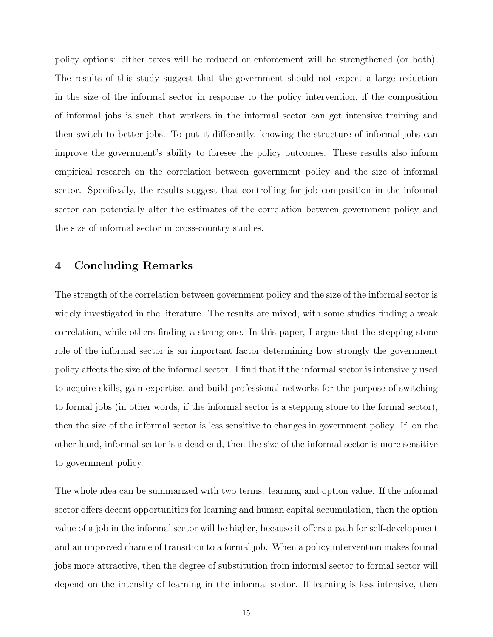policy options: either taxes will be reduced or enforcement will be strengthened (or both). The results of this study suggest that the government should not expect a large reduction in the size of the informal sector in response to the policy intervention, if the composition of informal jobs is such that workers in the informal sector can get intensive training and then switch to better jobs. To put it differently, knowing the structure of informal jobs can improve the government's ability to foresee the policy outcomes. These results also inform empirical research on the correlation between government policy and the size of informal sector. Specifically, the results suggest that controlling for job composition in the informal sector can potentially alter the estimates of the correlation between government policy and the size of informal sector in cross-country studies.

### 4 Concluding Remarks

The strength of the correlation between government policy and the size of the informal sector is widely investigated in the literature. The results are mixed, with some studies finding a weak correlation, while others finding a strong one. In this paper, I argue that the stepping-stone role of the informal sector is an important factor determining how strongly the government policy affects the size of the informal sector. I find that if the informal sector is intensively used to acquire skills, gain expertise, and build professional networks for the purpose of switching to formal jobs (in other words, if the informal sector is a stepping stone to the formal sector), then the size of the informal sector is less sensitive to changes in government policy. If, on the other hand, informal sector is a dead end, then the size of the informal sector is more sensitive to government policy.

The whole idea can be summarized with two terms: learning and option value. If the informal sector offers decent opportunities for learning and human capital accumulation, then the option value of a job in the informal sector will be higher, because it offers a path for self-development and an improved chance of transition to a formal job. When a policy intervention makes formal jobs more attractive, then the degree of substitution from informal sector to formal sector will depend on the intensity of learning in the informal sector. If learning is less intensive, then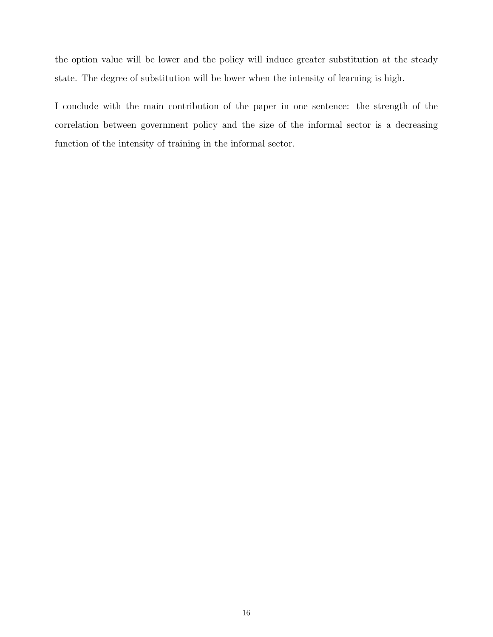the option value will be lower and the policy will induce greater substitution at the steady state. The degree of substitution will be lower when the intensity of learning is high.

I conclude with the main contribution of the paper in one sentence: the strength of the correlation between government policy and the size of the informal sector is a decreasing function of the intensity of training in the informal sector.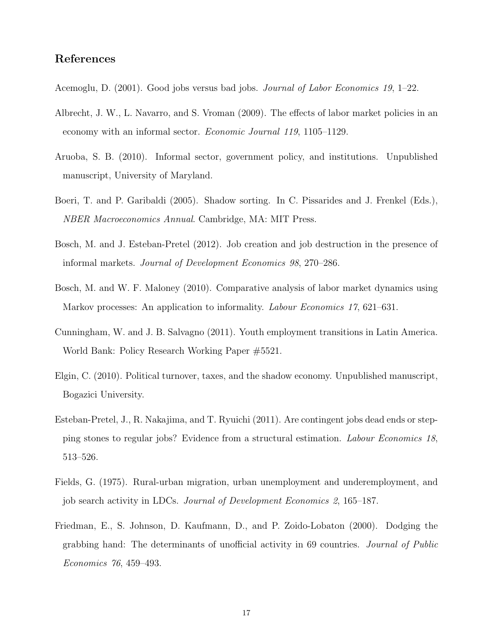# References

- <span id="page-16-6"></span>Acemoglu, D. (2001). Good jobs versus bad jobs. Journal of Labor Economics 19, 1–22.
- <span id="page-16-4"></span>Albrecht, J. W., L. Navarro, and S. Vroman (2009). The effects of labor market policies in an economy with an informal sector. Economic Journal 119, 1105–1129.
- <span id="page-16-9"></span>Aruoba, S. B. (2010). Informal sector, government policy, and institutions. Unpublished manuscript, University of Maryland.
- <span id="page-16-3"></span>Boeri, T. and P. Garibaldi (2005). Shadow sorting. In C. Pissarides and J. Frenkel (Eds.), NBER Macroeconomics Annual. Cambridge, MA: MIT Press.
- <span id="page-16-7"></span>Bosch, M. and J. Esteban-Pretel (2012). Job creation and job destruction in the presence of informal markets. Journal of Development Economics 98, 270–286.
- <span id="page-16-1"></span>Bosch, M. and W. F. Maloney (2010). Comparative analysis of labor market dynamics using Markov processes: An application to informality. Labour Economics 17, 621–631.
- <span id="page-16-2"></span>Cunningham, W. and J. B. Salvagno (2011). Youth employment transitions in Latin America. World Bank: Policy Research Working Paper #5521.
- <span id="page-16-10"></span>Elgin, C. (2010). Political turnover, taxes, and the shadow economy. Unpublished manuscript, Bogazici University.
- <span id="page-16-5"></span>Esteban-Pretel, J., R. Nakajima, and T. Ryuichi (2011). Are contingent jobs dead ends or stepping stones to regular jobs? Evidence from a structural estimation. Labour Economics 18, 513–526.
- <span id="page-16-0"></span>Fields, G. (1975). Rural-urban migration, urban unemployment and underemployment, and job search activity in LDCs. Journal of Development Economics 2, 165–187.
- <span id="page-16-8"></span>Friedman, E., S. Johnson, D. Kaufmann, D., and P. Zoido-Lobaton (2000). Dodging the grabbing hand: The determinants of unofficial activity in 69 countries. Journal of Public Economics 76, 459–493.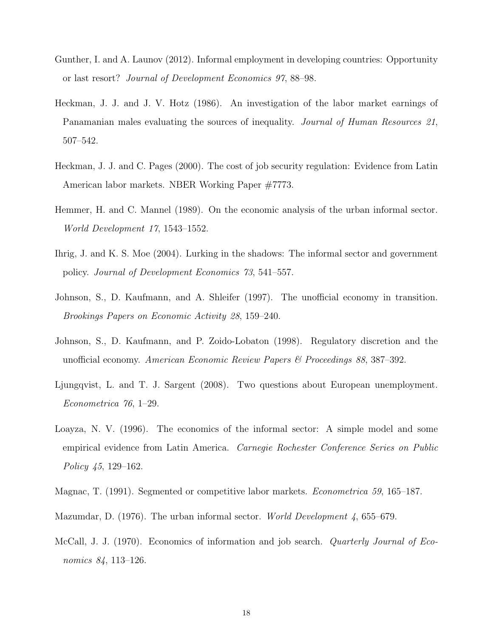- <span id="page-17-1"></span>Gunther, I. and A. Launov (2012). Informal employment in developing countries: Opportunity or last resort? Journal of Development Economics 97, 88–98.
- <span id="page-17-10"></span>Heckman, J. J. and J. V. Hotz (1986). An investigation of the labor market earnings of Panamanian males evaluating the sources of inequality. Journal of Human Resources 21, 507–542.
- <span id="page-17-9"></span>Heckman, J. J. and C. Pages (2000). The cost of job security regulation: Evidence from Latin American labor markets. NBER Working Paper #7773.
- <span id="page-17-2"></span>Hemmer, H. and C. Mannel (1989). On the economic analysis of the urban informal sector. World Development 17, 1543–1552.
- <span id="page-17-5"></span>Ihrig, J. and K. S. Moe (2004). Lurking in the shadows: The informal sector and government policy. Journal of Development Economics 73, 541–557.
- <span id="page-17-8"></span>Johnson, S., D. Kaufmann, and A. Shleifer (1997). The unofficial economy in transition. Brookings Papers on Economic Activity 28, 159–240.
- <span id="page-17-7"></span>Johnson, S., D. Kaufmann, and P. Zoido-Lobaton (1998). Regulatory discretion and the unofficial economy. American Economic Review Papers & Proceedings 88, 387–392.
- <span id="page-17-4"></span>Ljungqvist, L. and T. J. Sargent (2008). Two questions about European unemployment. Econometrica 76, 1–29.
- <span id="page-17-6"></span>Loayza, N. V. (1996). The economics of the informal sector: A simple model and some empirical evidence from Latin America. Carnegie Rochester Conference Series on Public Policy 45, 129–162.
- <span id="page-17-11"></span>Magnac, T. (1991). Segmented or competitive labor markets. Econometrica 59, 165–187.
- <span id="page-17-0"></span>Mazumdar, D. (1976). The urban informal sector. World Development 4, 655–679.
- <span id="page-17-3"></span>McCall, J. J. (1970). Economics of information and job search. *Quarterly Journal of Eco*nomics 84, 113–126.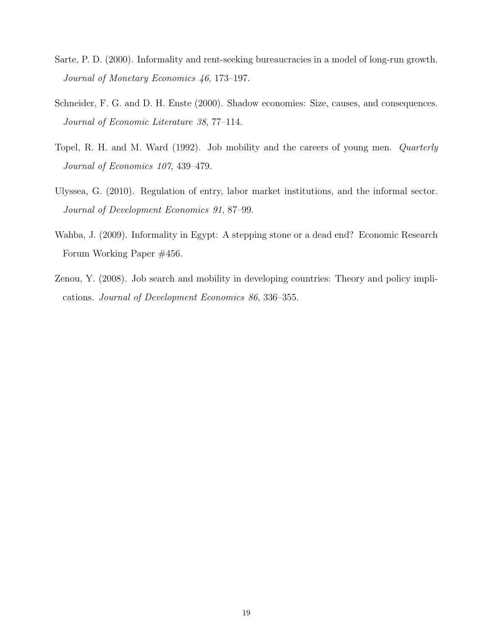- <span id="page-18-2"></span>Sarte, P. D. (2000). Informality and rent-seeking bureaucracies in a model of long-run growth. Journal of Monetary Economics 46, 173–197.
- <span id="page-18-5"></span>Schneider, F. G. and D. H. Enste (2000). Shadow economies: Size, causes, and consequences. Journal of Economic Literature 38, 77–114.
- <span id="page-18-1"></span>Topel, R. H. and M. Ward (1992). Job mobility and the careers of young men. Quarterly Journal of Economics 107, 439–479.
- <span id="page-18-3"></span>Ulyssea, G. (2010). Regulation of entry, labor market institutions, and the informal sector. Journal of Development Economics 91, 87–99.
- <span id="page-18-0"></span>Wahba, J. (2009). Informality in Egypt: A stepping stone or a dead end? Economic Research Forum Working Paper #456.
- <span id="page-18-4"></span>Zenou, Y. (2008). Job search and mobility in developing countries: Theory and policy implications. Journal of Development Economics 86, 336–355.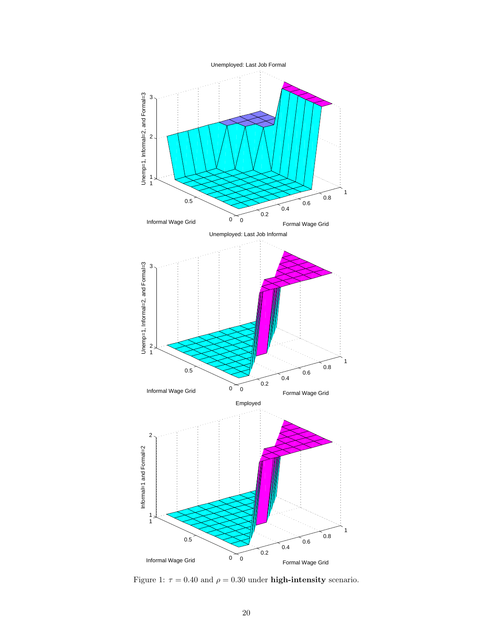<span id="page-19-0"></span>

Figure 1:  $\tau = 0.40$  and  $\rho = 0.30$  under **high-intensity** scenario.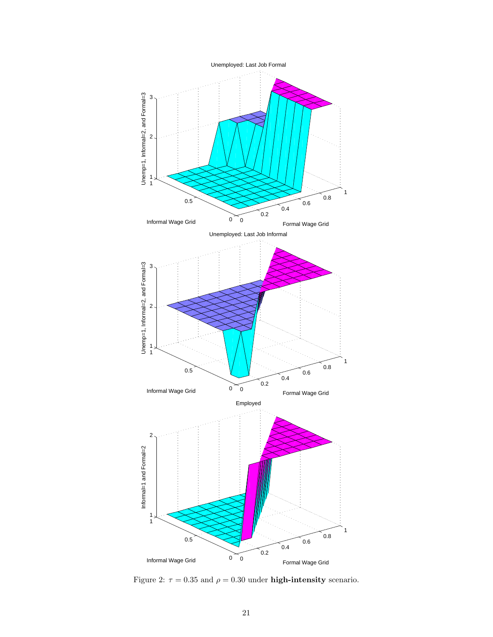<span id="page-20-0"></span>

Figure 2:  $\tau = 0.35$  and  $\rho = 0.30$  under **high-intensity** scenario.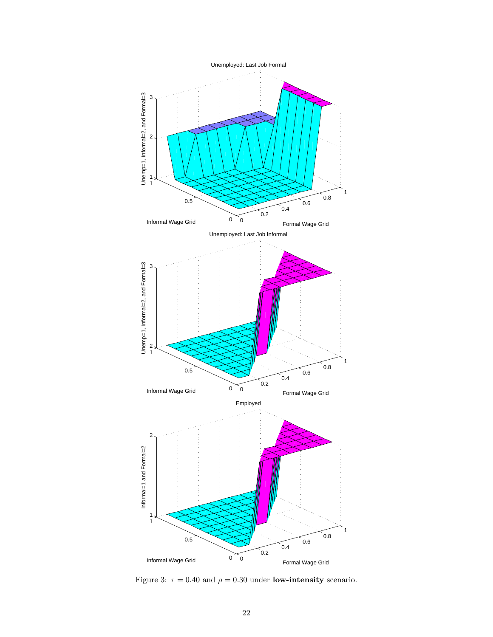<span id="page-21-0"></span>

Figure 3:  $\tau = 0.40$  and  $\rho = 0.30$  under low-intensity scenario.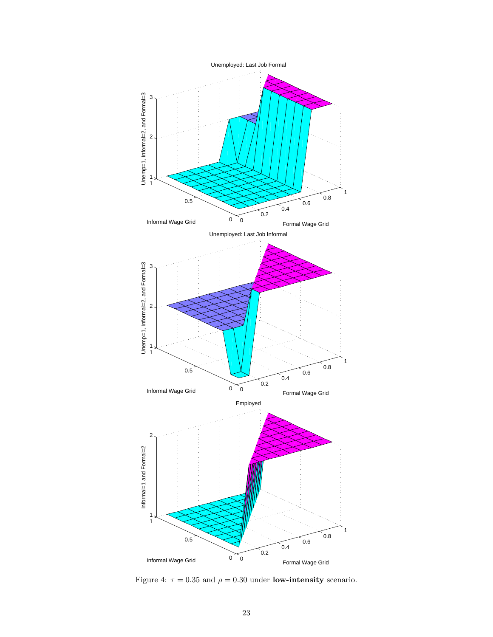<span id="page-22-0"></span>

Figure 4:  $\tau = 0.35$  and  $\rho = 0.30$  under low-intensity scenario.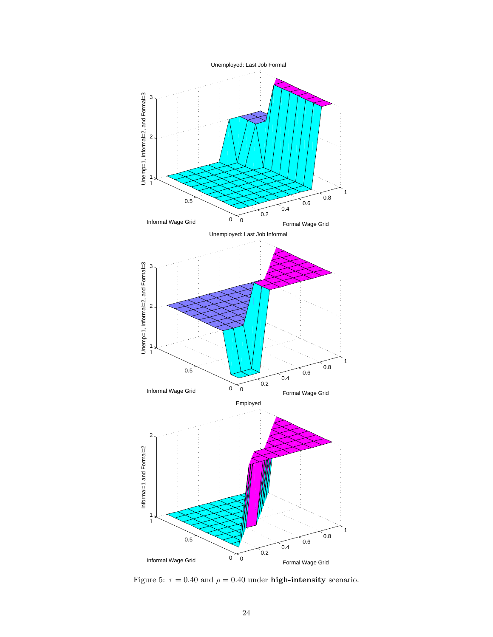<span id="page-23-0"></span>

Figure 5:  $\tau = 0.40$  and  $\rho = 0.40$  under **high-intensity** scenario.